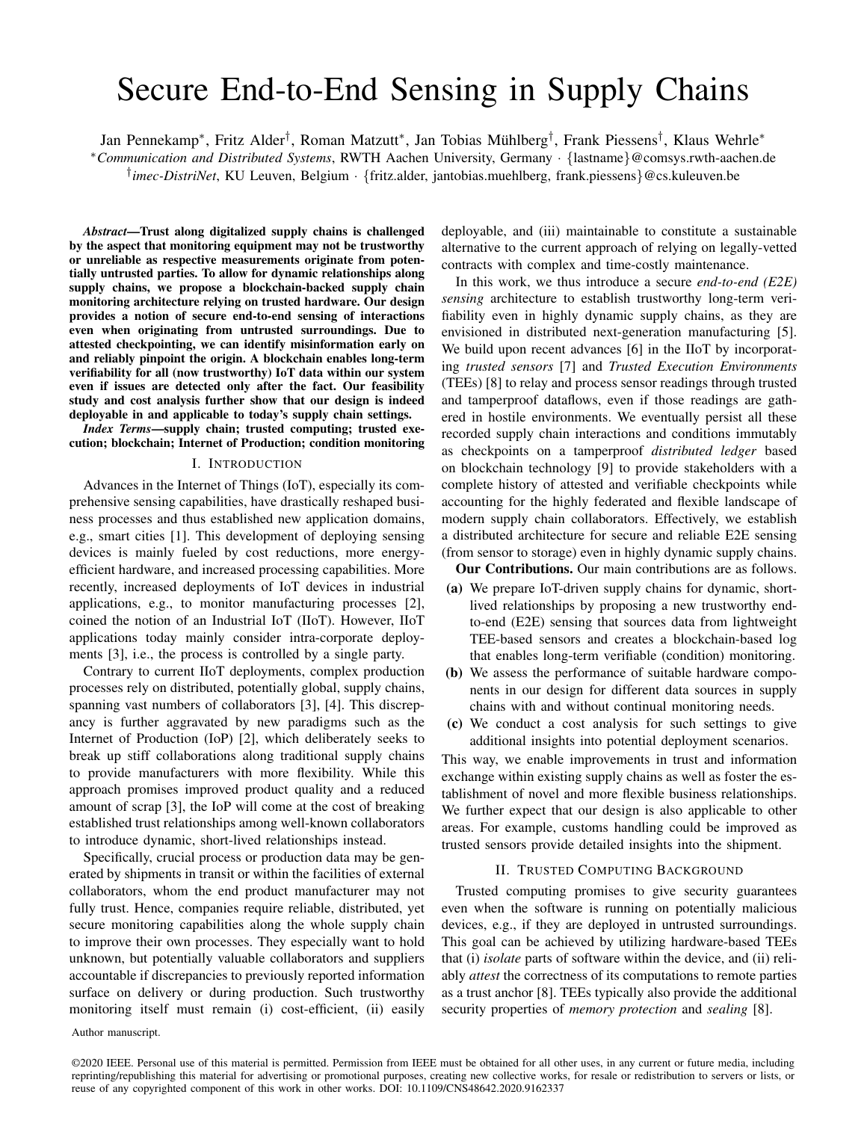# Secure End-to-End Sensing in Supply Chains

Jan Pennekamp\*, Fritz Alder<sup>†</sup>, Roman Matzutt\*, Jan Tobias Mühlberg<sup>†</sup>, Frank Piessens<sup>†</sup>, Klaus Wehrle\* <sup>∗</sup>*Communication and Distributed Systems*, RWTH Aachen University, Germany · {lastname}@comsys.rwth-aachen.de <sup>†</sup>imec-DistriNet, KU Leuven, Belgium · {fritz.alder, jantobias.muehlberg, frank.piessens}@cs.kuleuven.be

*Abstract*—Trust along digitalized supply chains is challenged by the aspect that monitoring equipment may not be trustworthy or unreliable as respective measurements originate from potentially untrusted parties. To allow for dynamic relationships along supply chains, we propose a blockchain-backed supply chain monitoring architecture relying on trusted hardware. Our design provides a notion of secure end-to-end sensing of interactions even when originating from untrusted surroundings. Due to attested checkpointing, we can identify misinformation early on and reliably pinpoint the origin. A blockchain enables long-term verifiability for all (now trustworthy) IoT data within our system even if issues are detected only after the fact. Our feasibility study and cost analysis further show that our design is indeed deployable in and applicable to today's supply chain settings.

<span id="page-0-0"></span>*Index Terms*—supply chain; trusted computing; trusted execution; blockchain; Internet of Production; condition monitoring

## I. INTRODUCTION

Advances in the Internet of Things (IoT), especially its comprehensive sensing capabilities, have drastically reshaped business processes and thus established new application domains, e.g., smart cities [\[1\]](#page-5-0). This development of deploying sensing devices is mainly fueled by cost reductions, more energyefficient hardware, and increased processing capabilities. More recently, increased deployments of IoT devices in industrial applications, e.g., to monitor manufacturing processes [\[2\]](#page-5-1), coined the notion of an Industrial IoT (IIoT). However, IIoT applications today mainly consider intra-corporate deployments [\[3\]](#page-5-2), i.e., the process is controlled by a single party.

Contrary to current IIoT deployments, complex production processes rely on distributed, potentially global, supply chains, spanning vast numbers of collaborators [\[3\]](#page-5-2), [\[4\]](#page-5-3). This discrepancy is further aggravated by new paradigms such as the Internet of Production (IoP) [\[2\]](#page-5-1), which deliberately seeks to break up stiff collaborations along traditional supply chains to provide manufacturers with more flexibility. While this approach promises improved product quality and a reduced amount of scrap [\[3\]](#page-5-2), the IoP will come at the cost of breaking established trust relationships among well-known collaborators to introduce dynamic, short-lived relationships instead.

Specifically, crucial process or production data may be generated by shipments in transit or within the facilities of external collaborators, whom the end product manufacturer may not fully trust. Hence, companies require reliable, distributed, yet secure monitoring capabilities along the whole supply chain to improve their own processes. They especially want to hold unknown, but potentially valuable collaborators and suppliers accountable if discrepancies to previously reported information surface on delivery or during production. Such trustworthy monitoring itself must remain (i) cost-efficient, (ii) easily

deployable, and (iii) maintainable to constitute a sustainable alternative to the current approach of relying on legally-vetted contracts with complex and time-costly maintenance.

In this work, we thus introduce a secure *end-to-end (E2E) sensing* architecture to establish trustworthy long-term verifiability even in highly dynamic supply chains, as they are envisioned in distributed next-generation manufacturing [\[5\]](#page-5-4). We build upon recent advances [\[6\]](#page-5-5) in the IIoT by incorporating *trusted sensors* [\[7\]](#page-5-6) and *Trusted Execution Environments* (TEEs) [\[8\]](#page-5-7) to relay and process sensor readings through trusted and tamperproof dataflows, even if those readings are gathered in hostile environments. We eventually persist all these recorded supply chain interactions and conditions immutably as checkpoints on a tamperproof *distributed ledger* based on blockchain technology [\[9\]](#page-5-8) to provide stakeholders with a complete history of attested and verifiable checkpoints while accounting for the highly federated and flexible landscape of modern supply chain collaborators. Effectively, we establish a distributed architecture for secure and reliable E2E sensing (from sensor to storage) even in highly dynamic supply chains.

Our Contributions. Our main contributions are as follows.

- (a) We prepare IoT-driven supply chains for dynamic, shortlived relationships by proposing a new trustworthy endto-end (E2E) sensing that sources data from lightweight TEE-based sensors and creates a blockchain-based log that enables long-term verifiable (condition) monitoring.
- (b) We assess the performance of suitable hardware components in our design for different data sources in supply chains with and without continual monitoring needs.
- (c) We conduct a cost analysis for such settings to give additional insights into potential deployment scenarios.

This way, we enable improvements in trust and information exchange within existing supply chains as well as foster the establishment of novel and more flexible business relationships. We further expect that our design is also applicable to other areas. For example, customs handling could be improved as trusted sensors provide detailed insights into the shipment.

#### II. TRUSTED COMPUTING BACKGROUND

Trusted computing promises to give security guarantees even when the software is running on potentially malicious devices, e.g., if they are deployed in untrusted surroundings. This goal can be achieved by utilizing hardware-based TEEs that (i) *isolate* parts of software within the device, and (ii) reliably *attest* the correctness of its computations to remote parties as a trust anchor [\[8\]](#page-5-7). TEEs typically also provide the additional security properties of *memory protection* and *sealing* [\[8\]](#page-5-7).

Author manuscript.

©2020 IEEE. Personal use of this material is permitted. Permission from IEEE must be obtained for all other uses, in any current or future media, including reprinting/republishing this material for advertising or promotional purposes, creating new collective works, for resale or redistribution to servers or lists, or reuse of any copyrighted component of this work in other works. DOI: [10.1109/CNS48642.2020.9162337](https://doi.org/10.1109/CNS48642.2020.9162337)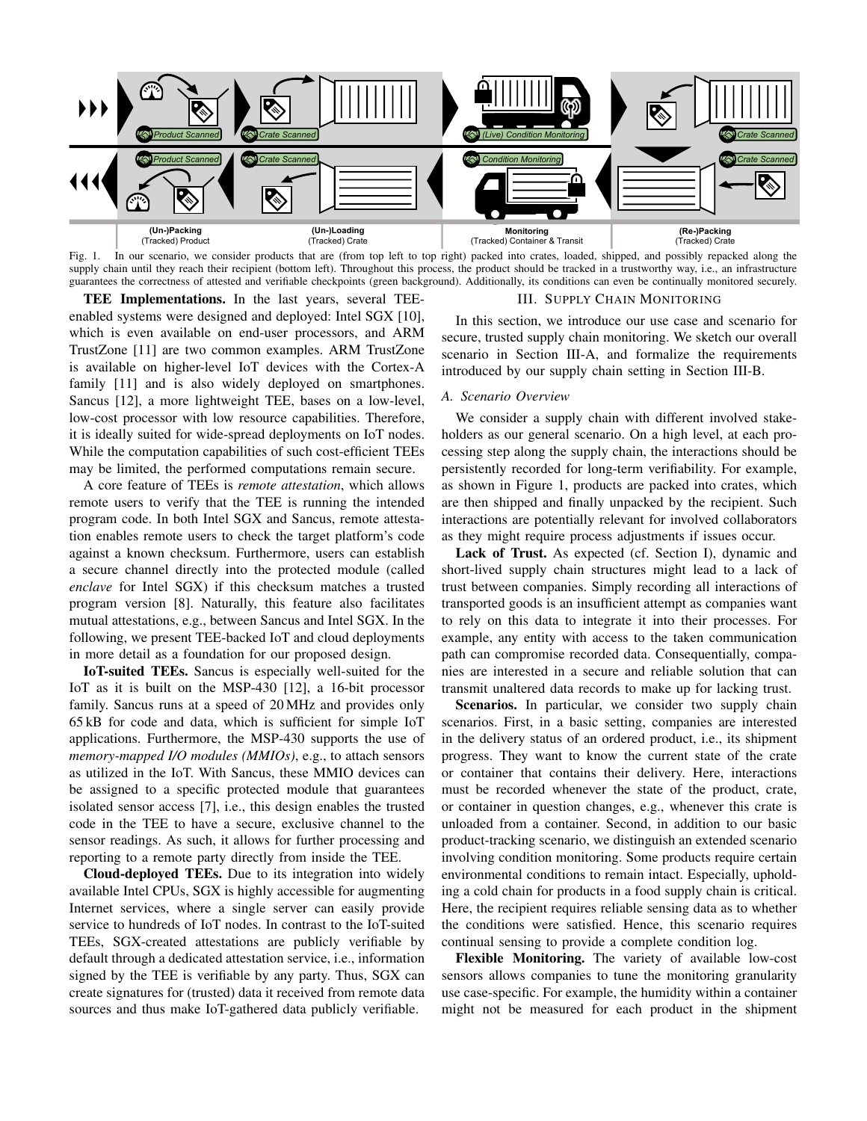

<span id="page-1-1"></span>Fig. 1. In our scenario, we consider products that are (from top left to top right) packed into crates, loaded, shipped, and possibly repacked along the supply chain until they reach their recipient (bottom left). Throughout this process, the product should be tracked in a trustworthy way, i.e., an infrastructure guarantees the correctness of attested and verifiable checkpoints (green background). Additionally, its conditions can even be continually monitored securely.

#### III. SUPPLY CHAIN MONITORING

TEE Implementations. In the last years, several TEEenabled systems were designed and deployed: Intel SGX [\[10\]](#page-5-9), which is even available on end-user processors, and ARM TrustZone [\[11\]](#page-5-10) are two common examples. ARM TrustZone is available on higher-level IoT devices with the Cortex-A family [\[11\]](#page-5-10) and is also widely deployed on smartphones. Sancus [\[12\]](#page-5-11), a more lightweight TEE, bases on a low-level, low-cost processor with low resource capabilities. Therefore, it is ideally suited for wide-spread deployments on IoT nodes. While the computation capabilities of such cost-efficient TEEs may be limited, the performed computations remain secure.

A core feature of TEEs is *remote attestation*, which allows remote users to verify that the TEE is running the intended program code. In both Intel SGX and Sancus, remote attestation enables remote users to check the target platform's code against a known checksum. Furthermore, users can establish a secure channel directly into the protected module (called *enclave* for Intel SGX) if this checksum matches a trusted program version [\[8\]](#page-5-7). Naturally, this feature also facilitates mutual attestations, e.g., between Sancus and Intel SGX. In the following, we present TEE-backed IoT and cloud deployments in more detail as a foundation for our proposed design.

IoT-suited TEEs. Sancus is especially well-suited for the IoT as it is built on the MSP-430 [\[12\]](#page-5-11), a 16-bit processor family. Sancus runs at a speed of 20 MHz and provides only 65 kB for code and data, which is sufficient for simple IoT applications. Furthermore, the MSP-430 supports the use of *memory-mapped I/O modules (MMIOs)*, e.g., to attach sensors as utilized in the IoT. With Sancus, these MMIO devices can be assigned to a specific protected module that guarantees isolated sensor access [\[7\]](#page-5-6), i.e., this design enables the trusted code in the TEE to have a secure, exclusive channel to the sensor readings. As such, it allows for further processing and reporting to a remote party directly from inside the TEE.

Cloud-deployed TEEs. Due to its integration into widely available Intel CPUs, SGX is highly accessible for augmenting Internet services, where a single server can easily provide service to hundreds of IoT nodes. In contrast to the IoT-suited TEEs, SGX-created attestations are publicly verifiable by default through a dedicated attestation service, i.e., information signed by the TEE is verifiable by any party. Thus, SGX can create signatures for (trusted) data it received from remote data sources and thus make IoT-gathered data publicly verifiable.

In this section, we introduce our use case and scenario for secure, trusted supply chain monitoring. We sketch our overall scenario in Section [III-A,](#page-1-0) and formalize the requirements introduced by our supply chain setting in Section [III-B.](#page-2-0)

## <span id="page-1-0"></span>*A. Scenario Overview*

We consider a supply chain with different involved stakeholders as our general scenario. On a high level, at each processing step along the supply chain, the interactions should be persistently recorded for long-term verifiability. For example, as shown in Figure [1,](#page-1-1) products are packed into crates, which are then shipped and finally unpacked by the recipient. Such interactions are potentially relevant for involved collaborators as they might require process adjustments if issues occur.

Lack of Trust. As expected (cf. Section [I\)](#page-0-0), dynamic and short-lived supply chain structures might lead to a lack of trust between companies. Simply recording all interactions of transported goods is an insufficient attempt as companies want to rely on this data to integrate it into their processes. For example, any entity with access to the taken communication path can compromise recorded data. Consequentially, companies are interested in a secure and reliable solution that can transmit unaltered data records to make up for lacking trust.

Scenarios. In particular, we consider two supply chain scenarios. First, in a basic setting, companies are interested in the delivery status of an ordered product, i.e., its shipment progress. They want to know the current state of the crate or container that contains their delivery. Here, interactions must be recorded whenever the state of the product, crate, or container in question changes, e.g., whenever this crate is unloaded from a container. Second, in addition to our basic product-tracking scenario, we distinguish an extended scenario involving condition monitoring. Some products require certain environmental conditions to remain intact. Especially, upholding a cold chain for products in a food supply chain is critical. Here, the recipient requires reliable sensing data as to whether the conditions were satisfied. Hence, this scenario requires continual sensing to provide a complete condition log.

Flexible Monitoring. The variety of available low-cost sensors allows companies to tune the monitoring granularity use case-specific. For example, the humidity within a container might not be measured for each product in the shipment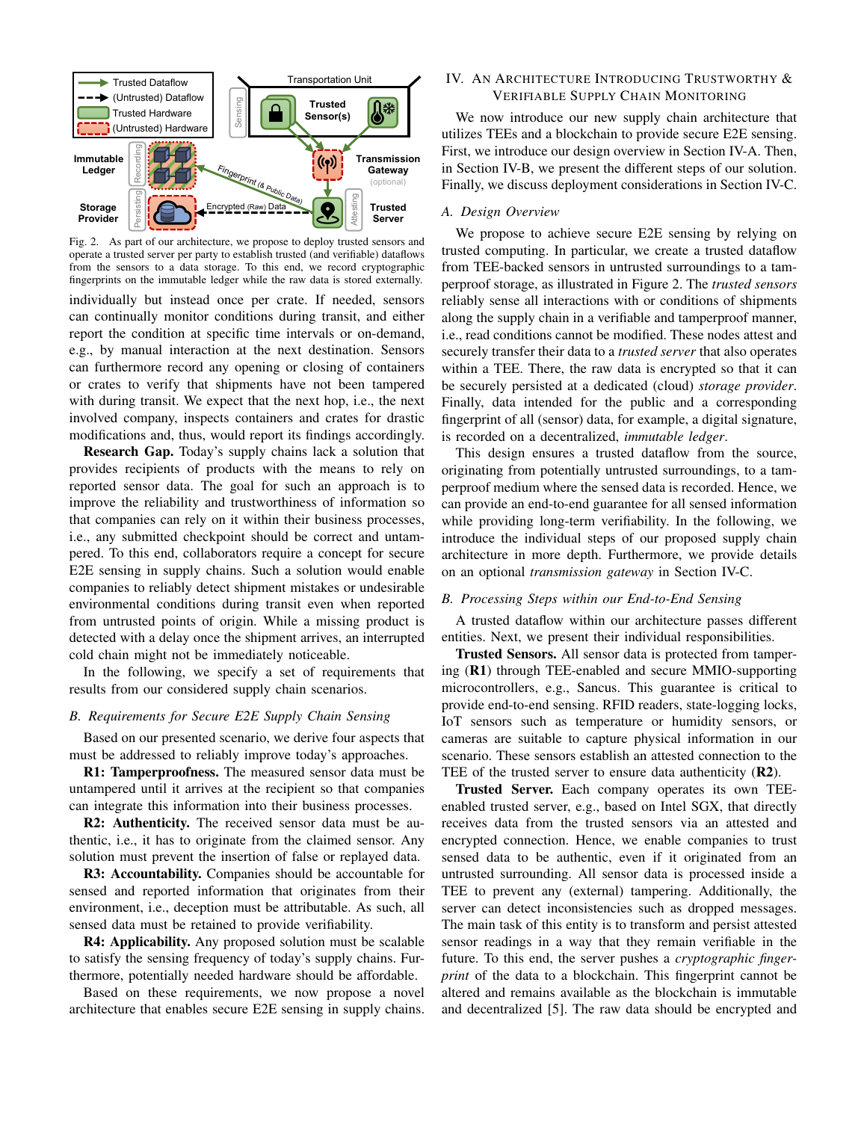

<span id="page-2-7"></span>Fig. 2. As part of our architecture, we propose to deploy trusted sensors and operate a trusted server per party to establish trusted (and verifiable) dataflows from the sensors to a data storage. To this end, we record cryptographic fingerprints on the immutable ledger while the raw data is stored externally.

individually but instead once per crate. If needed, sensors can continually monitor conditions during transit, and either report the condition at specific time intervals or on-demand, e.g., by manual interaction at the next destination. Sensors can furthermore record any opening or closing of containers or crates to verify that shipments have not been tampered with during transit. We expect that the next hop, i.e., the next involved company, inspects containers and crates for drastic modifications and, thus, would report its findings accordingly.

Research Gap. Today's supply chains lack a solution that provides recipients of products with the means to rely on reported sensor data. The goal for such an approach is to improve the reliability and trustworthiness of information so that companies can rely on it within their business processes, i.e., any submitted checkpoint should be correct and untampered. To this end, collaborators require a concept for secure E2E sensing in supply chains. Such a solution would enable companies to reliably detect shipment mistakes or undesirable environmental conditions during transit even when reported from untrusted points of origin. While a missing product is detected with a delay once the shipment arrives, an interrupted cold chain might not be immediately noticeable.

In the following, we specify a set of requirements that results from our considered supply chain scenarios.

#### <span id="page-2-0"></span>*B. Requirements for Secure E2E Supply Chain Sensing*

Based on our presented scenario, we derive four aspects that must be addressed to reliably improve today's approaches.

<span id="page-2-1"></span>[R1:](#page-2-1) Tamperproofness. The measured sensor data must be untampered until it arrives at the recipient so that companies can integrate this information into their business processes.

<span id="page-2-2"></span>[R2:](#page-2-2) Authenticity. The received sensor data must be authentic, i.e., it has to originate from the claimed sensor. Any solution must prevent the insertion of false or replayed data.

<span id="page-2-3"></span>[R3:](#page-2-3) Accountability. Companies should be accountable for sensed and reported information that originates from their environment, i.e., deception must be attributable. As such, all sensed data must be retained to provide verifiability.

<span id="page-2-4"></span>[R4:](#page-2-4) Applicability. Any proposed solution must be scalable to satisfy the sensing frequency of today's supply chains. Furthermore, potentially needed hardware should be affordable.

Based on these requirements, we now propose a novel architecture that enables secure E2E sensing in supply chains.

## IV. AN ARCHITECTURE INTRODUCING TRUSTWORTHY & VERIFIABLE SUPPLY CHAIN MONITORING

We now introduce our new supply chain architecture that utilizes TEEs and a blockchain to provide secure E2E sensing. First, we introduce our design overview in Section [IV-A.](#page-2-5) Then, in Section [IV-B,](#page-2-6) we present the different steps of our solution. Finally, we discuss deployment considerations in Section [IV-C.](#page-3-0)

#### <span id="page-2-5"></span>*A. Design Overview*

We propose to achieve secure E2E sensing by relying on trusted computing. In particular, we create a trusted dataflow from TEE-backed sensors in untrusted surroundings to a tamperproof storage, as illustrated in Figure [2.](#page-2-7) The *trusted sensors* reliably sense all interactions with or conditions of shipments along the supply chain in a verifiable and tamperproof manner, i.e., read conditions cannot be modified. These nodes attest and securely transfer their data to a *trusted server* that also operates within a TEE. There, the raw data is encrypted so that it can be securely persisted at a dedicated (cloud) *storage provider*. Finally, data intended for the public and a corresponding fingerprint of all (sensor) data, for example, a digital signature, is recorded on a decentralized, *immutable ledger*.

This design ensures a trusted dataflow from the source, originating from potentially untrusted surroundings, to a tamperproof medium where the sensed data is recorded. Hence, we can provide an end-to-end guarantee for all sensed information while providing long-term verifiability. In the following, we introduce the individual steps of our proposed supply chain architecture in more depth. Furthermore, we provide details on an optional *transmission gateway* in Section [IV-C.](#page-3-0)

## <span id="page-2-6"></span>*B. Processing Steps within our End-to-End Sensing*

A trusted dataflow within our architecture passes different entities. Next, we present their individual responsibilities.

Trusted Sensors. All sensor data is protected from tampering ([R1](#page-2-1)) through TEE-enabled and secure MMIO-supporting microcontrollers, e.g., Sancus. This guarantee is critical to provide end-to-end sensing. RFID readers, state-logging locks, IoT sensors such as temperature or humidity sensors, or cameras are suitable to capture physical information in our scenario. These sensors establish an attested connection to the TEE of the trusted server to ensure data authenticity ([R2](#page-2-2)).

Trusted Server. Each company operates its own TEEenabled trusted server, e.g., based on Intel SGX, that directly receives data from the trusted sensors via an attested and encrypted connection. Hence, we enable companies to trust sensed data to be authentic, even if it originated from an untrusted surrounding. All sensor data is processed inside a TEE to prevent any (external) tampering. Additionally, the server can detect inconsistencies such as dropped messages. The main task of this entity is to transform and persist attested sensor readings in a way that they remain verifiable in the future. To this end, the server pushes a *cryptographic fingerprint* of the data to a blockchain. This fingerprint cannot be altered and remains available as the blockchain is immutable and decentralized [\[5\]](#page-5-4). The raw data should be encrypted and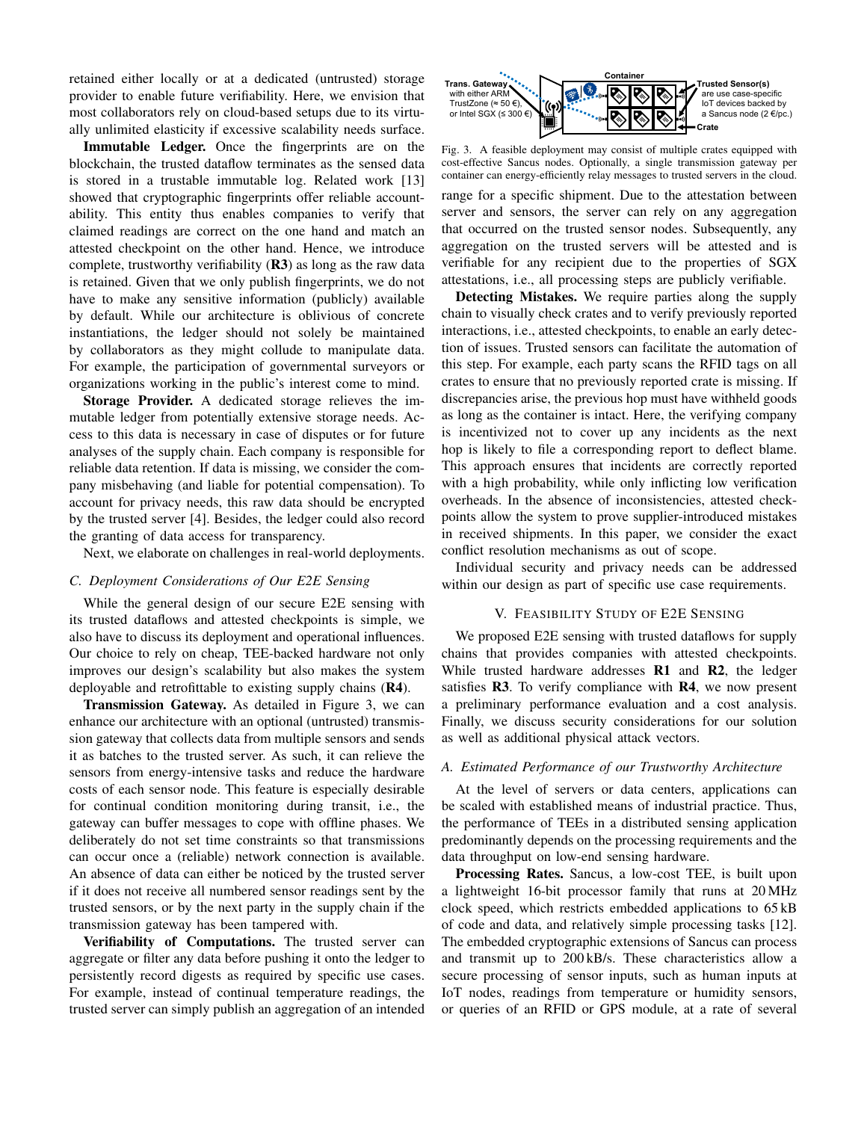retained either locally or at a dedicated (untrusted) storage provider to enable future verifiability. Here, we envision that most collaborators rely on cloud-based setups due to its virtually unlimited elasticity if excessive scalability needs surface.

Immutable Ledger. Once the fingerprints are on the blockchain, the trusted dataflow terminates as the sensed data is stored in a trustable immutable log. Related work [\[13\]](#page-5-12) showed that cryptographic fingerprints offer reliable accountability. This entity thus enables companies to verify that claimed readings are correct on the one hand and match an attested checkpoint on the other hand. Hence, we introduce complete, trustworthy verifiability  $(R3)$  $(R3)$  $(R3)$  as long as the raw data is retained. Given that we only publish fingerprints, we do not have to make any sensitive information (publicly) available by default. While our architecture is oblivious of concrete instantiations, the ledger should not solely be maintained by collaborators as they might collude to manipulate data. For example, the participation of governmental surveyors or organizations working in the public's interest come to mind.

Storage Provider. A dedicated storage relieves the immutable ledger from potentially extensive storage needs. Access to this data is necessary in case of disputes or for future analyses of the supply chain. Each company is responsible for reliable data retention. If data is missing, we consider the company misbehaving (and liable for potential compensation). To account for privacy needs, this raw data should be encrypted by the trusted server [\[4\]](#page-5-3). Besides, the ledger could also record the granting of data access for transparency.

Next, we elaborate on challenges in real-world deployments.

#### <span id="page-3-0"></span>*C. Deployment Considerations of Our E2E Sensing*

While the general design of our secure E2E sensing with its trusted dataflows and attested checkpoints is simple, we also have to discuss its deployment and operational influences. Our choice to rely on cheap, TEE-backed hardware not only improves our design's scalability but also makes the system deployable and retrofittable to existing supply chains ([R4](#page-2-4)).

Transmission Gateway. As detailed in Figure [3,](#page-3-1) we can enhance our architecture with an optional (untrusted) transmission gateway that collects data from multiple sensors and sends it as batches to the trusted server. As such, it can relieve the sensors from energy-intensive tasks and reduce the hardware costs of each sensor node. This feature is especially desirable for continual condition monitoring during transit, i.e., the gateway can buffer messages to cope with offline phases. We deliberately do not set time constraints so that transmissions can occur once a (reliable) network connection is available. An absence of data can either be noticed by the trusted server if it does not receive all numbered sensor readings sent by the trusted sensors, or by the next party in the supply chain if the transmission gateway has been tampered with.

Verifiability of Computations. The trusted server can aggregate or filter any data before pushing it onto the ledger to persistently record digests as required by specific use cases. For example, instead of continual temperature readings, the trusted server can simply publish an aggregation of an intended



<span id="page-3-1"></span>Fig. 3. A feasible deployment may consist of multiple crates equipped with cost-effective Sancus nodes. Optionally, a single transmission gateway per container can energy-efficiently relay messages to trusted servers in the cloud.

range for a specific shipment. Due to the attestation between server and sensors, the server can rely on any aggregation that occurred on the trusted sensor nodes. Subsequently, any aggregation on the trusted servers will be attested and is verifiable for any recipient due to the properties of SGX attestations, i.e., all processing steps are publicly verifiable.

Detecting Mistakes. We require parties along the supply chain to visually check crates and to verify previously reported interactions, i.e., attested checkpoints, to enable an early detection of issues. Trusted sensors can facilitate the automation of this step. For example, each party scans the RFID tags on all crates to ensure that no previously reported crate is missing. If discrepancies arise, the previous hop must have withheld goods as long as the container is intact. Here, the verifying company is incentivized not to cover up any incidents as the next hop is likely to file a corresponding report to deflect blame. This approach ensures that incidents are correctly reported with a high probability, while only inflicting low verification overheads. In the absence of inconsistencies, attested checkpoints allow the system to prove supplier-introduced mistakes in received shipments. In this paper, we consider the exact conflict resolution mechanisms as out of scope.

Individual security and privacy needs can be addressed within our design as part of specific use case requirements.

## V. FEASIBILITY STUDY OF E2E SENSING

We proposed E2E sensing with trusted dataflows for supply chains that provides companies with attested checkpoints. While trusted hardware addresses [R1](#page-2-1) and [R2](#page-2-2), the ledger satisfies  $R3$ . To verify compliance with  $R4$ , we now present a preliminary performance evaluation and a cost analysis. Finally, we discuss security considerations for our solution as well as additional physical attack vectors.

## *A. Estimated Performance of our Trustworthy Architecture*

At the level of servers or data centers, applications can be scaled with established means of industrial practice. Thus, the performance of TEEs in a distributed sensing application predominantly depends on the processing requirements and the data throughput on low-end sensing hardware.

Processing Rates. Sancus, a low-cost TEE, is built upon a lightweight 16-bit processor family that runs at 20 MHz clock speed, which restricts embedded applications to 65 kB of code and data, and relatively simple processing tasks [\[12\]](#page-5-11). The embedded cryptographic extensions of Sancus can process and transmit up to 200 kB/s. These characteristics allow a secure processing of sensor inputs, such as human inputs at IoT nodes, readings from temperature or humidity sensors, or queries of an RFID or GPS module, at a rate of several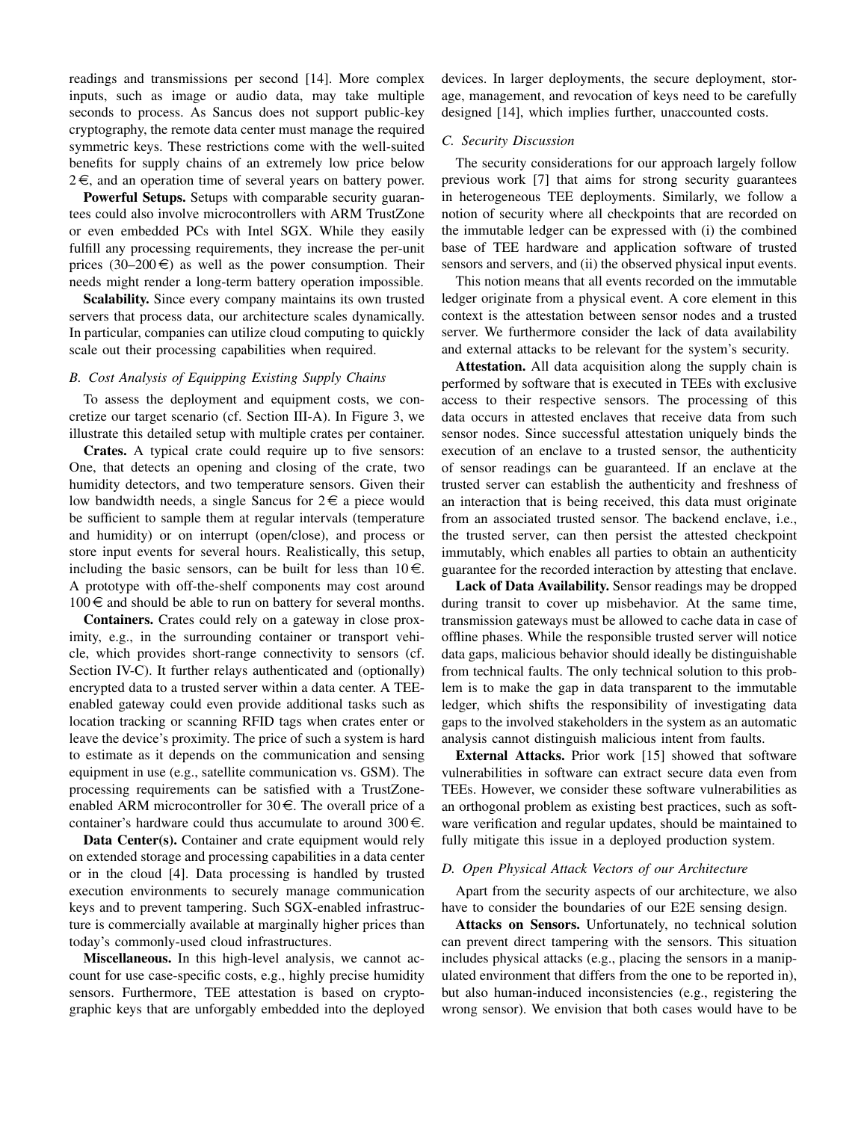readings and transmissions per second [\[14\]](#page-5-13). More complex inputs, such as image or audio data, may take multiple seconds to process. As Sancus does not support public-key cryptography, the remote data center must manage the required symmetric keys. These restrictions come with the well-suited benefits for supply chains of an extremely low price below  $2 \in$ , and an operation time of several years on battery power.

Powerful Setups. Setups with comparable security guarantees could also involve microcontrollers with ARM TrustZone or even embedded PCs with Intel SGX. While they easily fulfill any processing requirements, they increase the per-unit prices (30–200 $\epsilon$ ) as well as the power consumption. Their needs might render a long-term battery operation impossible.

Scalability. Since every company maintains its own trusted servers that process data, our architecture scales dynamically. In particular, companies can utilize cloud computing to quickly scale out their processing capabilities when required.

## *B. Cost Analysis of Equipping Existing Supply Chains*

To assess the deployment and equipment costs, we concretize our target scenario (cf. Section [III-A\)](#page-1-0). In Figure [3,](#page-3-1) we illustrate this detailed setup with multiple crates per container.

Crates. A typical crate could require up to five sensors: One, that detects an opening and closing of the crate, two humidity detectors, and two temperature sensors. Given their low bandwidth needs, a single Sancus for  $2 \in \mathbb{R}$  a piece would be sufficient to sample them at regular intervals (temperature and humidity) or on interrupt (open/close), and process or store input events for several hours. Realistically, this setup, including the basic sensors, can be built for less than  $10 \in$ . A prototype with off-the-shelf components may cost around  $100 \in \text{and should be able to run on battery for several months.}$ 

Containers. Crates could rely on a gateway in close proximity, e.g., in the surrounding container or transport vehicle, which provides short-range connectivity to sensors (cf. Section [IV-C\)](#page-3-0). It further relays authenticated and (optionally) encrypted data to a trusted server within a data center. A TEEenabled gateway could even provide additional tasks such as location tracking or scanning RFID tags when crates enter or leave the device's proximity. The price of such a system is hard to estimate as it depends on the communication and sensing equipment in use (e.g., satellite communication vs. GSM). The processing requirements can be satisfied with a TrustZoneenabled ARM microcontroller for  $30 \in$ . The overall price of a container's hardware could thus accumulate to around  $300 \in$ .

Data Center(s). Container and crate equipment would rely on extended storage and processing capabilities in a data center or in the cloud [\[4\]](#page-5-3). Data processing is handled by trusted execution environments to securely manage communication keys and to prevent tampering. Such SGX-enabled infrastructure is commercially available at marginally higher prices than today's commonly-used cloud infrastructures.

Miscellaneous. In this high-level analysis, we cannot account for use case-specific costs, e.g., highly precise humidity sensors. Furthermore, TEE attestation is based on cryptographic keys that are unforgably embedded into the deployed devices. In larger deployments, the secure deployment, storage, management, and revocation of keys need to be carefully designed [\[14\]](#page-5-13), which implies further, unaccounted costs.

#### *C. Security Discussion*

The security considerations for our approach largely follow previous work [\[7\]](#page-5-6) that aims for strong security guarantees in heterogeneous TEE deployments. Similarly, we follow a notion of security where all checkpoints that are recorded on the immutable ledger can be expressed with (i) the combined base of TEE hardware and application software of trusted sensors and servers, and (ii) the observed physical input events.

This notion means that all events recorded on the immutable ledger originate from a physical event. A core element in this context is the attestation between sensor nodes and a trusted server. We furthermore consider the lack of data availability and external attacks to be relevant for the system's security.

Attestation. All data acquisition along the supply chain is performed by software that is executed in TEEs with exclusive access to their respective sensors. The processing of this data occurs in attested enclaves that receive data from such sensor nodes. Since successful attestation uniquely binds the execution of an enclave to a trusted sensor, the authenticity of sensor readings can be guaranteed. If an enclave at the trusted server can establish the authenticity and freshness of an interaction that is being received, this data must originate from an associated trusted sensor. The backend enclave, i.e., the trusted server, can then persist the attested checkpoint immutably, which enables all parties to obtain an authenticity guarantee for the recorded interaction by attesting that enclave.

Lack of Data Availability. Sensor readings may be dropped during transit to cover up misbehavior. At the same time, transmission gateways must be allowed to cache data in case of offline phases. While the responsible trusted server will notice data gaps, malicious behavior should ideally be distinguishable from technical faults. The only technical solution to this problem is to make the gap in data transparent to the immutable ledger, which shifts the responsibility of investigating data gaps to the involved stakeholders in the system as an automatic analysis cannot distinguish malicious intent from faults.

External Attacks. Prior work [\[15\]](#page-5-14) showed that software vulnerabilities in software can extract secure data even from TEEs. However, we consider these software vulnerabilities as an orthogonal problem as existing best practices, such as software verification and regular updates, should be maintained to fully mitigate this issue in a deployed production system.

#### <span id="page-4-0"></span>*D. Open Physical Attack Vectors of our Architecture*

Apart from the security aspects of our architecture, we also have to consider the boundaries of our E2E sensing design.

Attacks on Sensors. Unfortunately, no technical solution can prevent direct tampering with the sensors. This situation includes physical attacks (e.g., placing the sensors in a manipulated environment that differs from the one to be reported in), but also human-induced inconsistencies (e.g., registering the wrong sensor). We envision that both cases would have to be